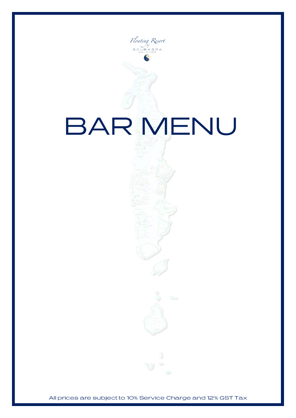

All prices are subject to 10% Service Charge and 12% GST Tax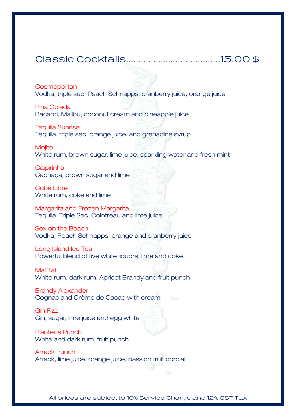#### 

**Cosmopolitan** 

Vodka, triple sec, Peach Schnapps, cranberry juice, orange juice

Pina Colada

Bacardi, Malibu, coconut cream and pineapple juice

Tequila Sunrise

Tequila, triple sec, orange juice, and grenadine syrup

**Mojito** White rum, brown sugar, lime juice, sparkling water and fresh mint

**Caipirinha** Cachaça, brown sugar and lime

Cuba Libre White rum, coke and lime

Margarita and Frozen Margarita Tequila, Triple Sec, Cointreau and lime juice

Sex on the Beach Vodka, Peach Schnapps, orange and cranberry juice

Long Island Ice Tea Powerful blend of five white liquors, lime and coke

Mai Tai White rum, dark rum, Apricot Brandy and fruit punch

Brandy Alexander Cognac and Crème de Cacao with cream

Gin Fizz Gin, sugar, lime juice and egg white



Planter's Punch White and dark rum, fruit punch

Arrack Punch Arrack, lime juice, orange juice, passion fruit cordial

All prices are subject to 10% Service Charge and 12% GST Tax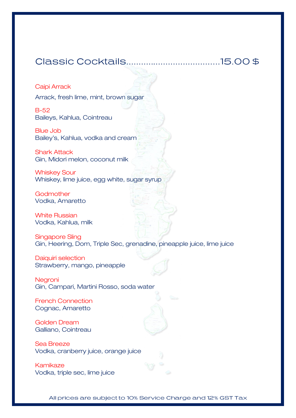#### 

#### Caipi Arrack

Arrack, fresh lime, mint, brown sugar

B-52 Baileys, Kahlua, Cointreau

Blue Job Bailey's, Kahlua, vodka and cream

Shark Attack Gin, Midori melon, coconut milk

Whiskey Sour Whiskey, lime juice, egg white, sugar syrup

Godmother Vodka, Amaretto

White Russian Vodka, Kahlua, milk

Singapore Sling Gin, Heering, Dom, Triple Sec, grenadine, pineapple juice, lime juice

Daiquiri selection Strawberry, mango, pineapple

**Negroni** Gin, Campari, Martini Rosso, soda water

French Connection Cognac, Amaretto

Golden Dream Galliano, Cointreau

Sea Breeze Vodka, cranberry juice, orange juice

Kamikaze Vodka, triple sec, lime juice

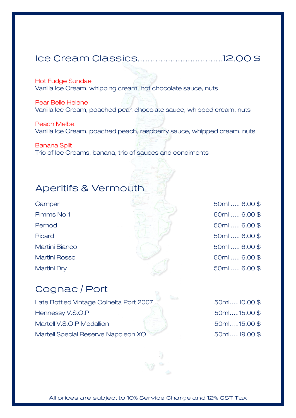## 

Hot Fudge Sundae

Vanilla Ice Cream, whipping cream, hot chocolate sauce, nuts

Pear Belle Helene Vanilla Ice Cream, poached pear, chocolate sauce, whipped cream, nuts

Peach Melba Vanilla Ice Cream, poached peach, raspberry sauce, whipped cream, nuts

Banana Split Trio of Ice Creams, banana, trio of sauces and condiments

#### **Aperitifs & Vermouth**

- 
- 
- 
- 
- 

Campari 50ml ….. 6.00 \$ Pimms No 1 50ml ….. 6.00 \$ Pernod 50ml ….. 6.00 \$ Ricard 50ml .... 6.00 \$ Martini Bianco 50ml ….. 6.00 \$ Martini Rosso 50ml ….. 6.00 \$ Martini Dry 50ml ….. 6.00 \$

## Cognac / Port

Late Bottled Vintage Colheita Port 2007 Hennessy V.S.O.P Martell V.S.O.P Medallion Martell Special Reserve Napoleon XO

| 50ml10.00\$ |  |
|-------------|--|
| 50ml15.00\$ |  |
| 50ml15.00\$ |  |
| 50ml19.00\$ |  |

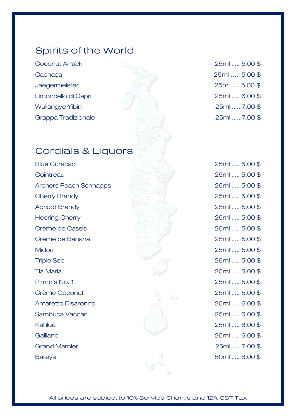#### **Spirits of the World**

Coconut Arrack 25ml ..... 5.00 \$ Cachaça 25ml ….. 5.00 \$ Jaegermeister 25ml ..... 5.00 \$ Limoncello di Capri 25ml ..... 6.00 \$ Wuliangye Yibin 25ml ..... 7.00 \$ Grappa Tradizionale 25ml ..... 7.00 \$

#### **Cordials & Liquors**

Blue Curacao 25ml ..... 5.00 \$ Cointreau 25ml ..... 5.00 \$ Archers Peach Schnapps 25ml ..... 5.00 \$ Cherry Brandy 25ml ..... 5.00 \$ Apricot Brandy 25ml ..... 5.00 \$ Heering Cherry 25ml ..... 5.00 \$ Crème de Cassis 25ml ..... 5.00 \$ Crème de Banana 25ml ..... 5.00 \$ Midori 25ml ..... 5.00 \$ Triple Sec 25ml ..... 5.00 \$ Tia Maria 25ml ..... 5.00 \$ Pimm's No. 1 25ml ..... 5.00 \$ Crème Coconut 25ml ..... 5.00 \$ Amaretto Disaronno 25ml ..... 6.00 \$ Sambuca Vaccari 25ml ..... 6.00 \$ Kahlua 25ml ..... 6.00 \$ Galliano 25ml ..... 6.00 \$ Grand Marnier 25ml ..... 7.00 \$ Baileys 50ml ..... 8.00 \$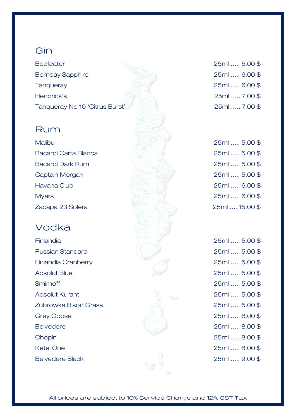#### Gin

Beefeater 25ml ….. 5.00 \$ Bombay Sapphire 25ml ..... 6.00 \$ Tanqueray 25ml ….. 6.00 \$ Hendrick's 25ml ….. 7.00 \$ Tanqueray No 10 'Citrus Burst' 25ml ….. 7.00 \$

#### Rum

Bacardi Carta Blanca Bacardi Dark Rum Captain Morgan Havana Club Myers 25ml ….. 6.00 \$ Zacapa 23 Solera

### Vodka

Russian Standard 25ml ….. 5.00 \$ Finlandia Cranberry 25ml ….. 5.00 \$ Absolut Blue 25ml ….. 5.00 \$ Smirnoff 25ml ….. 5.00 \$ Absolut Kurant 25ml ….. 5.00 \$ Zubrowka Bison Grass 25ml ….. 5.00 \$ Grey Goose 25ml ….. 8.00 \$ Belvedere 25ml ….. 8.00 \$ Chopin 25ml ….. 8.00 \$ Ketel One 25ml ….. 8.00 \$



| 25ml  5.00\$ |
|--------------|
| 25ml  5.00\$ |
| 25ml  5.00\$ |
| 25ml  5.00\$ |
| 25ml  6.00\$ |
| 25ml  6.00\$ |
| 25ml 15.00\$ |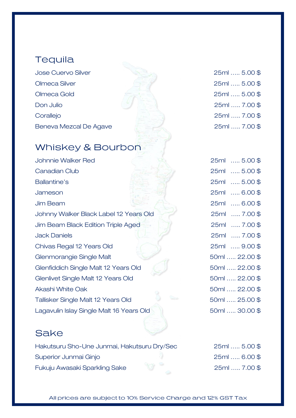#### **Tequila**

Jose Cuervo Silver Olmeca Silver Olmeca Gold Don Julio 25ml ….. 7.00 \$ Corallejo Beneva Mezcal De Agave

## Whiskey & Bourbon

Johnnie Walker Red Canadian Club Ballantine's Jameson 25ml ….. 6.00 \$ Jim Beam 25ml ….. 6.00 \$ Johnny Walker Black Label 12 Years Old Jim Beam Black Edition Triple Aged Jack Daniels Chivas Regal 12 Years Old Glenmorangie Single Malt Glenfiddich Single Malt 12 Years Old Glenlivet Single Malt 12 Years Old Akashi White Oak Tallisker Single Malt 12 Years Old Lagavulin Islay Single Malt 16 Years Old

#### Sake

Hakutsuru Sho-Une Junmai, Hakutsuru Dry/Sec Superior Junmai Ginjo Fukuju Awasaki Sparkling Sake

| 25ml  5.00 \$ |  |
|---------------|--|
| 25ml  5.00 \$ |  |
| 25ml  5.00\$  |  |
| 25ml  7.00\$  |  |
| 25ml  7.00\$  |  |
| 25ml  7.00\$  |  |

| 25ml | 5.00 \$           |
|------|-------------------|
| 25ml | 5.00 \$           |
| 25ml | 5.00 \$           |
| 25ml | 6.00\$            |
| 25ml | 6.00 \$           |
| 25ml | $\ldots$ 7.00\$   |
| 25ml | $\ldots$ . 7.00\$ |
| 25ml | , 7.00 \$         |
|      | 25ml  9.00\$      |
|      | 50ml  22.00\$     |
|      | 50ml  22.00\$     |
|      | 50ml  22.00\$     |
|      | 50ml  22.00\$     |
|      | 50ml  25.00 \$    |
|      | 50ml  30.00 \$    |

| 25ml  5.00\$ |  |
|--------------|--|
| 25ml  6.00\$ |  |
| 25ml  7.00\$ |  |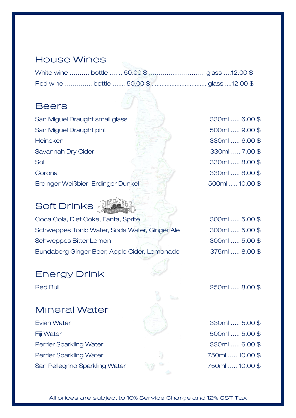#### **House Wines**

#### **Beers**

San Miguel Draught small glass  $\frac{1}{2}$  330ml ..... 6.00 \$ San Miguel Draught pint 500ml ..... 9.00 \$ Heineken 330ml ….. 6.00 \$ Savannah Dry Cider 330ml ….. 7.00 \$ Sol 330ml ..... 8.00 \$ Corona 330ml ….. 8.00 \$ Erdinger Weißbier, Erdinger Dunkel 500ml ..... 10.00 \$

# Soft Drinks

Coca Cola, Diet Coke, Fanta, Sprite Schweppes Tonic Water, Soda Water, Ginger Ale Schweppes Bitter Lemon Bundaberg Ginger Beer, Apple Cider, Lemonade

#### **Energy Drink**

## **Mineral Water**

Evian Water Fiji Water Perrier Sparkling Water Perrier Sparkling Water San Pellegrino Sparkling Water

| 300ml  5.00 \$ |  |
|----------------|--|
| 300ml  5.00 \$ |  |
| 300ml  5.00 \$ |  |
| 375ml  8.00\$  |  |



Red Bull 250ml ….. 8.00 \$

| 330ml  5.00\$   |  |
|-----------------|--|
| 500ml  5.00 \$  |  |
| 330ml  6.00\$   |  |
| 750ml  10.00 \$ |  |
| 750ml  10.00 \$ |  |
|                 |  |

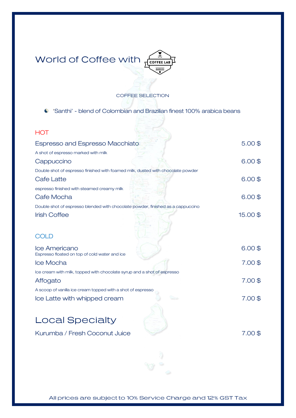

#### COFFEE SELECTION

'Santhi' - blend of Colombian and Brazilian finest 100% arabica beans

| <b>HOT</b>                                                                      |           |
|---------------------------------------------------------------------------------|-----------|
| Espresso and Espresso Macchiato                                                 | $5.00$ \$ |
| A shot of espresso marked with milk                                             |           |
| Cappuccino                                                                      | $6.00$ \$ |
| Double shot of espresso finished with foamed milk, dusted with chocolate powder |           |
| Cafe Latte                                                                      | $6.00$ \$ |
| espresso finished with steamed creamy milk                                      |           |
| Cafe Mocha                                                                      | $6.00$ \$ |
| Double shot of espresso blended with chocolate powder, finished as a cappuccino |           |
| <b>Irish Coffee</b>                                                             | 15.00\$   |
|                                                                                 |           |
| <b>COLD</b>                                                                     |           |
| Ice Americano                                                                   | $6.00$ \$ |
| Espresso floated on top of cold water and ice                                   |           |
| Ice Mocha                                                                       | $7.00$ \$ |
| Ice cream with milk, topped with chocolate syrup and a shot of espresso         |           |
| Affogato                                                                        | 7.00\$    |
| A scoop of vanilla ice cream topped with a shot of espresso                     |           |
| Ice Latte with whipped cream                                                    | 7.00\$    |
|                                                                                 |           |
| <b>Local Specialty</b>                                                          |           |
| Kurumba / Fresh Coconut Juice                                                   | $7.00$ \$ |
|                                                                                 |           |